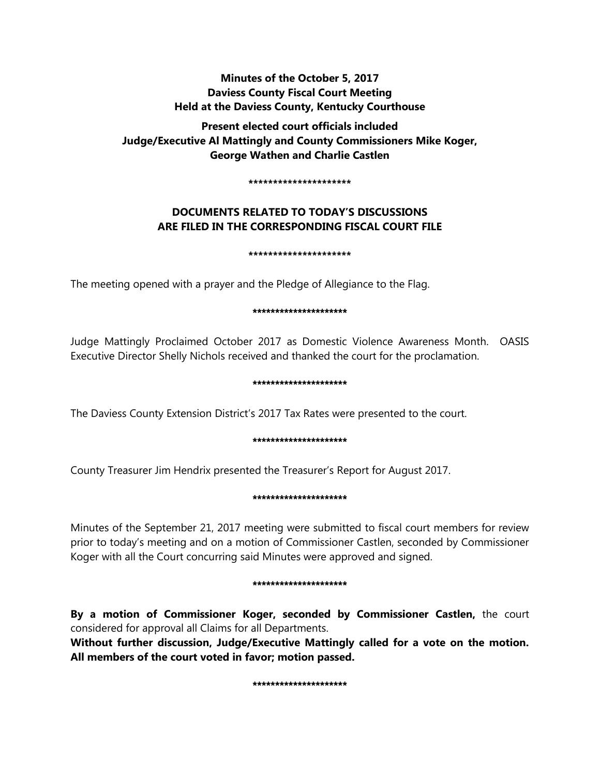# **Minutes of the October 5, 2017 Daviess County Fiscal Court Meeting Held at the Daviess County, Kentucky Courthouse**

**Present elected court officials included Judge/Executive Al Mattingly and County Commissioners Mike Koger, George Wathen and Charlie Castlen** 

**\*\*\*\*\*\*\*\*\*\*\*\*\*\*\*\*\*\*\*\*\***

# **DOCUMENTS RELATED TO TODAY'S DISCUSSIONS ARE FILED IN THE CORRESPONDING FISCAL COURT FILE**

**\*\*\*\*\*\*\*\*\*\*\*\*\*\*\*\*\*\*\*\*\***

The meeting opened with a prayer and the Pledge of Allegiance to the Flag.

#### \*\*\*\*\*\*\*\*\*\*\*\*\*\*\*\*\*\*\*\*\*

Judge Mattingly Proclaimed October 2017 as Domestic Violence Awareness Month. OASIS Executive Director Shelly Nichols received and thanked the court for the proclamation.

### \*\*\*\*\*\*\*\*\*\*\*\*\*\*\*\*\*\*\*\*\*

The Daviess County Extension District's 2017 Tax Rates were presented to the court.

### \*\*\*\*\*\*\*\*\*\*\*\*\*\*\*\*\*\*\*\*\*

County Treasurer Jim Hendrix presented the Treasurer's Report for August 2017.

### \*\*\*\*\*\*\*\*\*\*\*\*\*\*\*\*\*\*\*\*\*

Minutes of the September 21, 2017 meeting were submitted to fiscal court members for review prior to today's meeting and on a motion of Commissioner Castlen, seconded by Commissioner Koger with all the Court concurring said Minutes were approved and signed.

#### \*\*\*\*\*\*\*\*\*\*\*\*\*\*\*\*\*\*

**By a motion of Commissioner Koger, seconded by Commissioner Castlen,** the court considered for approval all Claims for all Departments.

**Without further discussion, Judge/Executive Mattingly called for a vote on the motion. All members of the court voted in favor; motion passed.** 

#### \*\*\*\*\*\*\*\*\*\*\*\*\*\*\*\*\*\*\*\*\*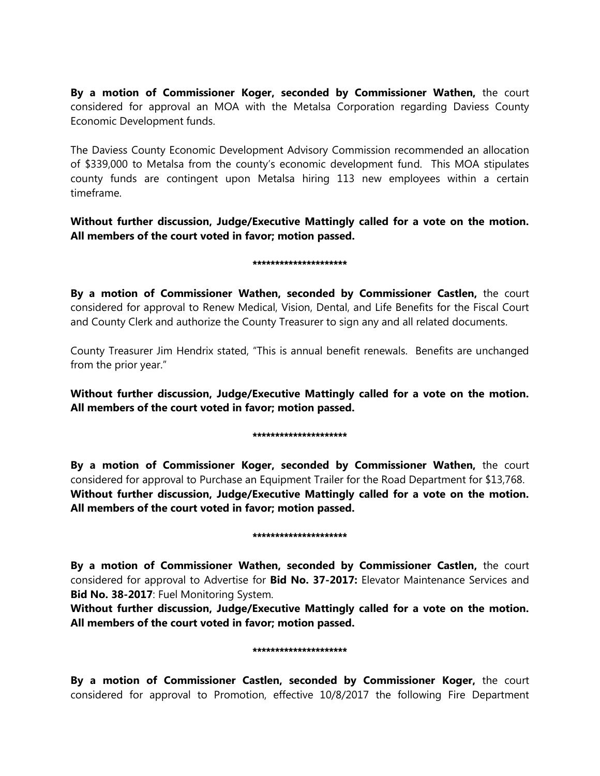**By a motion of Commissioner Koger, seconded by Commissioner Wathen,** the court considered for approval an MOA with the Metalsa Corporation regarding Daviess County Economic Development funds.

The Daviess County Economic Development Advisory Commission recommended an allocation of \$339,000 to Metalsa from the county's economic development fund. This MOA stipulates county funds are contingent upon Metalsa hiring 113 new employees within a certain timeframe.

**Without further discussion, Judge/Executive Mattingly called for a vote on the motion. All members of the court voted in favor; motion passed.** 

#### \*\*\*\*\*\*\*\*\*\*\*\*\*\*\*\*\*\*\*\*\*

**By a motion of Commissioner Wathen, seconded by Commissioner Castlen,** the court considered for approval to Renew Medical, Vision, Dental, and Life Benefits for the Fiscal Court and County Clerk and authorize the County Treasurer to sign any and all related documents.

County Treasurer Jim Hendrix stated, "This is annual benefit renewals. Benefits are unchanged from the prior year."

**Without further discussion, Judge/Executive Mattingly called for a vote on the motion. All members of the court voted in favor; motion passed.** 

#### \*\*\*\*\*\*\*\*\*\*\*\*\*\*\*\*\*\*\*\*\*

**By a motion of Commissioner Koger, seconded by Commissioner Wathen,** the court considered for approval to Purchase an Equipment Trailer for the Road Department for \$13,768. **Without further discussion, Judge/Executive Mattingly called for a vote on the motion. All members of the court voted in favor; motion passed.** 

#### \*\*\*\*\*\*\*\*\*\*\*\*\*\*\*\*\*\*\*

**By a motion of Commissioner Wathen, seconded by Commissioner Castlen,** the court considered for approval to Advertise for **Bid No. 37-2017:** Elevator Maintenance Services and **Bid No. 38-2017**: Fuel Monitoring System.

**Without further discussion, Judge/Executive Mattingly called for a vote on the motion. All members of the court voted in favor; motion passed.** 

#### \*\*\*\*\*\*\*\*\*\*\*\*\*\*\*\*\*\*\*

**By a motion of Commissioner Castlen, seconded by Commissioner Koger,** the court considered for approval to Promotion, effective 10/8/2017 the following Fire Department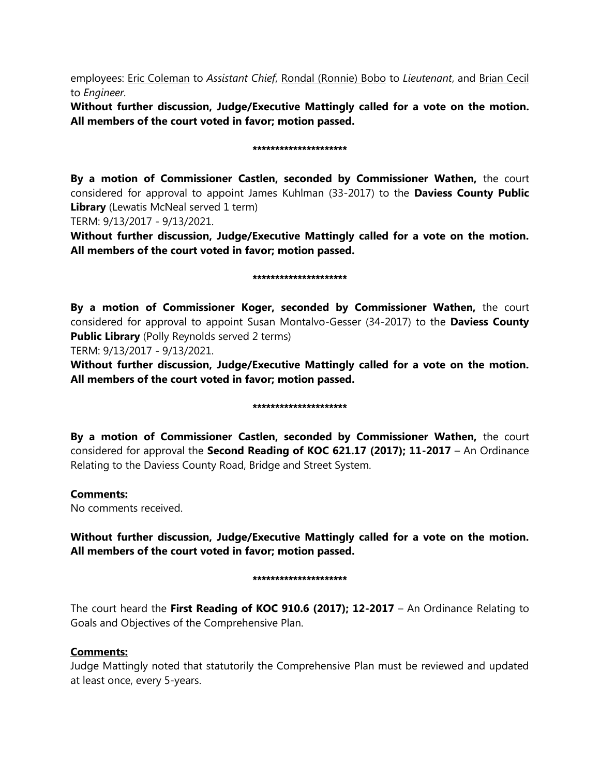employees: Eric Coleman to *Assistant Chief*, Rondal (Ronnie) Bobo to *Lieutenant*, and Brian Cecil to *Engineer.*

**Without further discussion, Judge/Executive Mattingly called for a vote on the motion. All members of the court voted in favor; motion passed.** 

#### \*\*\*\*\*\*\*\*\*\*\*\*\*\*\*\*\*\*\*\*\*

**By a motion of Commissioner Castlen, seconded by Commissioner Wathen,** the court considered for approval to appoint James Kuhlman (33-2017) to the **Daviess County Public Library** (Lewatis McNeal served 1 term)

TERM: 9/13/2017 - 9/13/2021.

**Without further discussion, Judge/Executive Mattingly called for a vote on the motion. All members of the court voted in favor; motion passed.** 

#### \*\*\*\*\*\*\*\*\*\*\*\*\*\*\*\*\*\*\*

**By a motion of Commissioner Koger, seconded by Commissioner Wathen,** the court considered for approval to appoint Susan Montalvo-Gesser (34-2017) to the **Daviess County Public Library** (Polly Reynolds served 2 terms)

TERM: 9/13/2017 - 9/13/2021.

**Without further discussion, Judge/Executive Mattingly called for a vote on the motion. All members of the court voted in favor; motion passed.** 

#### \*\*\*\*\*\*\*\*\*\*\*\*\*\*\*\*\*\*\*\*\*

**By a motion of Commissioner Castlen, seconded by Commissioner Wathen,** the court considered for approval the **Second Reading of KOC 621.17 (2017); 11-2017** – An Ordinance Relating to the Daviess County Road, Bridge and Street System.

### **Comments:**

No comments received.

**Without further discussion, Judge/Executive Mattingly called for a vote on the motion. All members of the court voted in favor; motion passed.** 

#### \*\*\*\*\*\*\*\*\*\*\*\*\*\*\*\*\*\*\*\*\*

The court heard the **First Reading of KOC 910.6 (2017); 12-2017** – An Ordinance Relating to Goals and Objectives of the Comprehensive Plan.

## **Comments:**

Judge Mattingly noted that statutorily the Comprehensive Plan must be reviewed and updated at least once, every 5-years.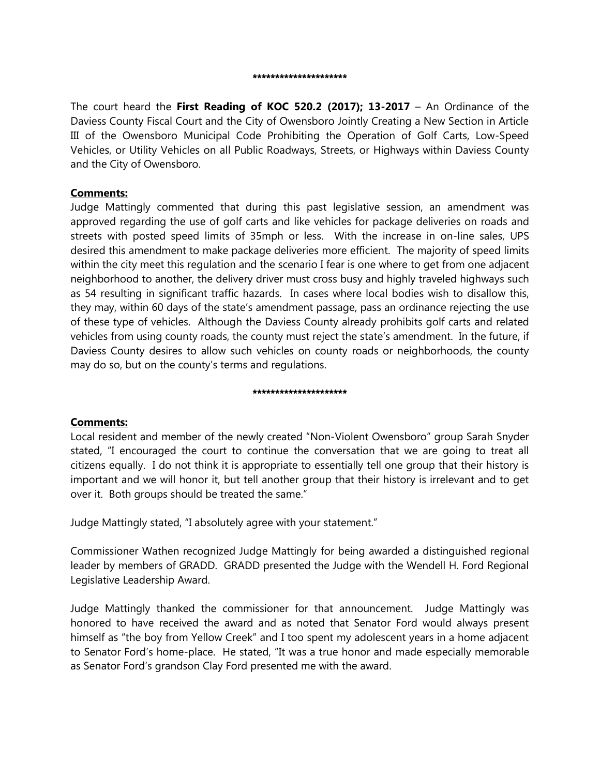#### \*\*\*\*\*\*\*\*\*\*\*\*\*\*\*\*\*\*\*\*

The court heard the **First Reading of KOC 520.2 (2017); 13-2017** – An Ordinance of the Daviess County Fiscal Court and the City of Owensboro Jointly Creating a New Section in Article III of the Owensboro Municipal Code Prohibiting the Operation of Golf Carts, Low-Speed Vehicles, or Utility Vehicles on all Public Roadways, Streets, or Highways within Daviess County and the City of Owensboro.

### **Comments:**

Judge Mattingly commented that during this past legislative session, an amendment was approved regarding the use of golf carts and like vehicles for package deliveries on roads and streets with posted speed limits of 35mph or less. With the increase in on-line sales, UPS desired this amendment to make package deliveries more efficient. The majority of speed limits within the city meet this regulation and the scenario I fear is one where to get from one adjacent neighborhood to another, the delivery driver must cross busy and highly traveled highways such as 54 resulting in significant traffic hazards. In cases where local bodies wish to disallow this, they may, within 60 days of the state's amendment passage, pass an ordinance rejecting the use of these type of vehicles. Although the Daviess County already prohibits golf carts and related vehicles from using county roads, the county must reject the state's amendment. In the future, if Daviess County desires to allow such vehicles on county roads or neighborhoods, the county may do so, but on the county's terms and regulations.

#### \*\*\*\*\*\*\*\*\*\*\*\*\*\*\*\*\*\*\*\*

## **Comments:**

Local resident and member of the newly created "Non-Violent Owensboro" group Sarah Snyder stated, "I encouraged the court to continue the conversation that we are going to treat all citizens equally. I do not think it is appropriate to essentially tell one group that their history is important and we will honor it, but tell another group that their history is irrelevant and to get over it. Both groups should be treated the same."

Judge Mattingly stated, "I absolutely agree with your statement."

Commissioner Wathen recognized Judge Mattingly for being awarded a distinguished regional leader by members of GRADD. GRADD presented the Judge with the Wendell H. Ford Regional Legislative Leadership Award.

Judge Mattingly thanked the commissioner for that announcement. Judge Mattingly was honored to have received the award and as noted that Senator Ford would always present himself as "the boy from Yellow Creek" and I too spent my adolescent years in a home adjacent to Senator Ford's home-place. He stated, "It was a true honor and made especially memorable as Senator Ford's grandson Clay Ford presented me with the award.